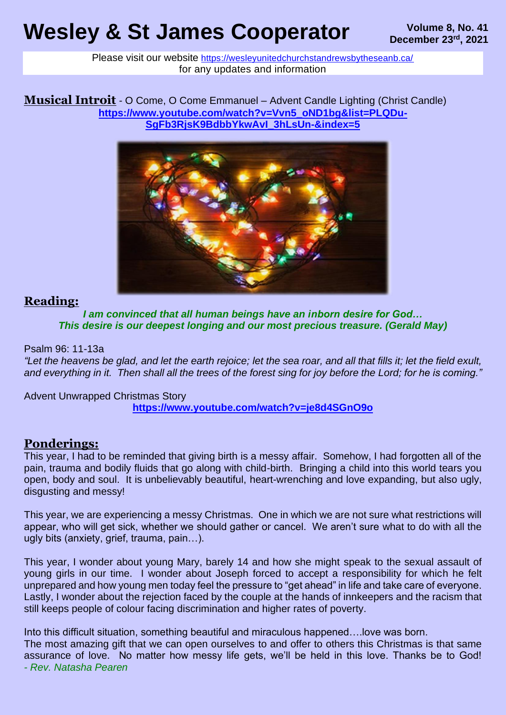# **Wesley & St James Cooperator December 23rd, 2021**

Please visit our website <https://wesleyunitedchurchstandrewsbytheseanb.ca/> for any updates and information

**Musical Introit** - O Come, O Come Emmanuel – Advent Candle Lighting (Christ Candle) **[https://www.youtube.com/watch?v=Vvn5\\_oND1bg&list=PLQDu-](https://www.youtube.com/watch?v=Vvn5_oND1bg&list=PLQDu-SgFb3RjsK9BdbbYkwAvI_3hLsUn-&index=5)[SgFb3RjsK9BdbbYkwAvI\\_3hLsUn-&index=5](https://www.youtube.com/watch?v=Vvn5_oND1bg&list=PLQDu-SgFb3RjsK9BdbbYkwAvI_3hLsUn-&index=5)**



#### **Reading:**

*I am convinced that all human beings have an inborn desire for God… This desire is our deepest longing and our most precious treasure. (Gerald May)*

Psalm 96: 11-13a

*"Let the heavens be glad, and let the earth rejoice; let the sea roar, and all that fills it; let the field exult, and everything in it. Then shall all the trees of the forest sing for joy before the Lord; for he is coming."*

Advent Unwrapped Christmas Story **<https://www.youtube.com/watch?v=je8d4SGnO9o>**

#### **Ponderings:**

This year, I had to be reminded that giving birth is a messy affair. Somehow, I had forgotten all of the pain, trauma and bodily fluids that go along with child-birth. Bringing a child into this world tears you open, body and soul. It is unbelievably beautiful, heart-wrenching and love expanding, but also ugly, disgusting and messy!

This year, we are experiencing a messy Christmas. One in which we are not sure what restrictions will appear, who will get sick, whether we should gather or cancel. We aren't sure what to do with all the ugly bits (anxiety, grief, trauma, pain…).

This year, I wonder about young Mary, barely 14 and how she might speak to the sexual assault of young girls in our time. I wonder about Joseph forced to accept a responsibility for which he felt unprepared and how young men today feel the pressure to "get ahead" in life and take care of everyone. Lastly, I wonder about the rejection faced by the couple at the hands of innkeepers and the racism that still keeps people of colour facing discrimination and higher rates of poverty.

Into this difficult situation, something beautiful and miraculous happened….love was born.

The most amazing gift that we can open ourselves to and offer to others this Christmas is that same assurance of love. No matter how messy life gets, we'll be held in this love. Thanks be to God! *- Rev. Natasha Pearen*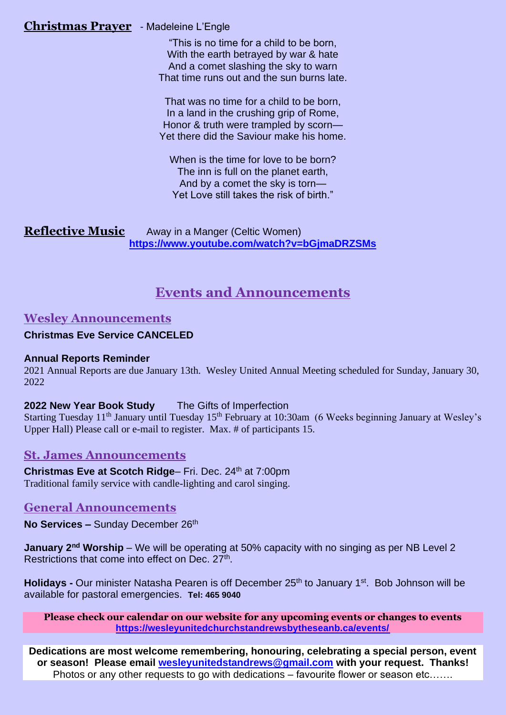#### **Christmas Prayer** - Madeleine L'Engle

"This is no time for a child to be born, With the earth betrayed by war & hate And a comet slashing the sky to warn That time runs out and the sun burns late.

That was no time for a child to be born, In a land in the crushing grip of Rome, Honor & truth were trampled by scorn— Yet there did the Saviour make his home.

When is the time for love to be born? The inn is full on the planet earth, And by a comet the sky is torn— Yet Love still takes the risk of birth."

**Reflective Music** Away in a Manger (Celtic Women) **<https://www.youtube.com/watch?v=bGjmaDRZSMs>**

# **Events and Announcements**

### **Wesley Announcements**

#### **Christmas Eve Service CANCELED**

#### **Annual Reports Reminder**

2021 Annual Reports are due January 13th. Wesley United Annual Meeting scheduled for Sunday, January 30, 2022

#### **2022 New Year Book Study** The Gifts of Imperfection

Starting Tuesday 11<sup>th</sup> January until Tuesday 15<sup>th</sup> February at 10:30am (6 Weeks beginning January at Wesley's Upper Hall) Please call or e-mail to register. Max. # of participants 15.

## **St. James Announcements**

**Christmas Eve at Scotch Ridge– Fri. Dec. 24<sup>th</sup> at 7:00pm** Traditional family service with candle-lighting and carol singing.

#### **General Announcements**

**No Services –** Sunday December 26<sup>th</sup>

**January 2nd Worship** – We will be operating at 50% capacity with no singing as per NB Level 2 Restrictions that come into effect on Dec. 27<sup>th</sup>.

**Holidays -** Our minister Natasha Pearen is off December 25<sup>th</sup> to January 1<sup>st</sup>. Bob Johnson will be available for pastoral emergencies. **Tel: 465 9040**

**Please check our calendar on our website for any upcoming events or changes to events <https://wesleyunitedchurchstandrewsbytheseanb.ca/events/>**

**Dedications are most welcome remembering, honouring, celebrating a special person, event or season! Please email [wesleyunitedstandrews@gmail.com](mailto:wesleyunitedstandrews@gmail.com) with your request. Thanks!** Photos or any other requests to go with dedications – favourite flower or season etc…….